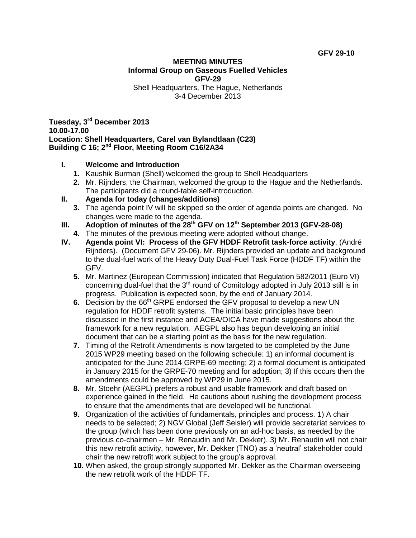# **MEETING MINUTES Informal Group on Gaseous Fuelled Vehicles GFV-29**

Shell Headquarters, The Hague, Netherlands 3-4 December 2013

**Tuesday, 3rd December 2013 10.00-17.00 Location: Shell Headquarters, Carel van Bylandtlaan (C23) Building C 16; 2nd Floor, Meeting Room C16/2A34**

## **I. Welcome and Introduction**

- **1.** Kaushik Burman (Shell) welcomed the group to Shell Headquarters
- **2.** Mr. Rijnders, the Chairman, welcomed the group to the Hague and the Netherlands. The participants did a round-table self-introduction.
- **II. Agenda for today (changes/additions)**
	- **3.** The agenda point IV will be skipped so the order of agenda points are changed. No changes were made to the agenda.
- **III. Adoption of minutes of the 28th GFV on 12th September 2013 (GFV-28-08)**
- **4.** The minutes of the previous meeting were adopted without change.
- **IV. Agenda point VI: Process of the GFV HDDF Retrofit task-force activity**, (André Rijnders). (Document GFV 29-06). Mr. Rijnders provided an update and background to the dual-fuel work of the Heavy Duty Dual-Fuel Task Force (HDDF TF) within the GFV.
	- **5.** Mr. Martinez (European Commission) indicated that Regulation 582/2011 (Euro VI) concerning dual-fuel that the  $3<sup>rd</sup>$  round of Comitology adopted in July 2013 still is in progress. Publication is expected soon, by the end of January 2014.
	- **6.** Decision by the 66<sup>th</sup> GRPE endorsed the GFV proposal to develop a new UN regulation for HDDF retrofit systems. The initial basic principles have been discussed in the first instance and ACEA/OICA have made suggestions about the framework for a new regulation. AEGPL also has begun developing an initial document that can be a starting point as the basis for the new regulation.
	- **7.** Timing of the Retrofit Amendments is now targeted to be completed by the June 2015 WP29 meeting based on the following schedule: 1) an informal document is anticipated for the June 2014 GRPE-69 meeting; 2) a formal document is anticipated in January 2015 for the GRPE-70 meeting and for adoption; 3) If this occurs then the amendments could be approved by WP29 in June 2015.
	- **8.** Mr. Stoehr (AEGPL) prefers a robust and usable framework and draft based on experience gained in the field. He cautions about rushing the development process to ensure that the amendments that are developed will be functional.
	- **9.** Organization of the activities of fundamentals, principles and process. 1) A chair needs to be selected; 2) NGV Global (Jeff Seisler) will provide secretariat services to the group (which has been done previously on an ad-hoc basis, as needed by the previous co-chairmen – Mr. Renaudin and Mr. Dekker). 3) Mr. Renaudin will not chair this new retrofit activity, however, Mr. Dekker (TNO) as a 'neutral' stakeholder could chair the new retrofit work subject to the group's approval.
	- **10.** When asked, the group strongly supported Mr. Dekker as the Chairman overseeing the new retrofit work of the HDDF TF.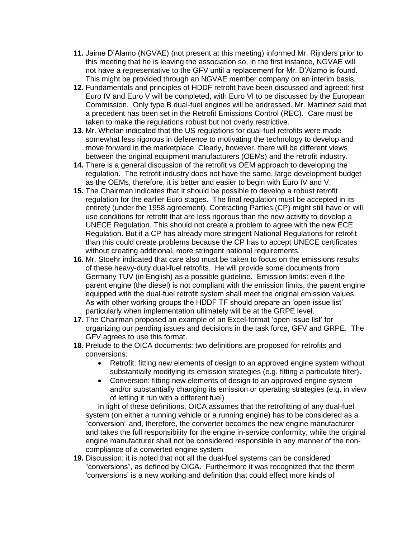- **11.** Jaime D'Alamo (NGVAE) (not present at this meeting) informed Mr. Rijnders prior to this meeting that he is leaving the association so, in the first instance, NGVAE will not have a representative to the GFV until a replacement for Mr. D'Alamo is found. This might be provided through an NGVAE member company on an interim basis.
- **12.** Fundamentals and principles of HDDF retrofit have been discussed and agreed: first Euro IV and Euro V will be completed, with Euro VI to be discussed by the European Commission. Only type B dual-fuel engines will be addressed. Mr. Martinez said that a precedent has been set in the Retrofit Emissions Control (REC). Care must be taken to make the regulations robust but not overly restrictive.
- **13.** Mr. Whelan indicated that the US regulations for dual-fuel retrofits were made somewhat less rigorous in deference to motivating the technology to develop and move forward in the marketplace. Clearly, however, there will be different views between the original equipment manufacturers (OEMs) and the retrofit industry.
- **14.** There is a general discussion of the retrofit vs OEM approach to developing the regulation. The retrofit industry does not have the same, large development budget as the OEMs, therefore, it is better and easier to begin with Euro IV and V.
- **15.** The Chairman indicates that it should be possible to develop a robust retrofit regulation for the earlier Euro stages. The final regulation must be accepted in its entirety (under the 1958 agreement). Contracting Parties (CP) might still have or will use conditions for retrofit that are less rigorous than the new activity to develop a UNECE Regulation. This should not create a problem to agree with the new ECE Regulation. But if a CP has already more stringent National Regulations for retrofit than this could create problems because the CP has to accept UNECE certificates without creating additional, more stringent national requirements.
- **16.** Mr. Stoehr indicated that care also must be taken to focus on the emissions results of these heavy-duty dual-fuel retrofits. He will provide some documents from Germany TUV (in English) as a possible guideline. Emission limits: even if the parent engine (the diesel) is not compliant with the emission limits, the parent engine equipped with the dual-fuel retrofit system shall meet the original emission values. As with other working groups the HDDF TF should prepare an 'open issue list' particularly when implementation ultimately will be at the GRPE level.
- **17.** The Chairman proposed an example of an Excel-format 'open issue list' for organizing our pending issues and decisions in the task force, GFV and GRPE. The GFV agrees to use this format.
- **18.** Prelude to the OICA documents: two definitions are proposed for retrofits and conversions:
	- Retrofit: fitting new elements of design to an approved engine system without substantially modifying its emission strategies (e.g. fitting a particulate filter).
	- Conversion: fitting new elements of design to an approved engine system and/or substantially changing its emission or operating strategies (e.g. in view of letting it run with a different fuel)

In light of these definitions, OICA assumes that the retrofitting of any dual-fuel system (on either a running vehicle or a running engine) has to be considered as a "conversion" and, therefore, the converter becomes the new engine manufacturer and takes the full responsibility for the engine in-service conformity, while the original engine manufacturer shall not be considered responsible in any manner of the noncompliance of a converted engine system

**19.** Discussion: it is noted that not all the dual-fuel systems can be considered "conversions", as defined by OICA. Furthermore it was recognized that the therm 'conversions' is a new working and definition that could effect more kinds of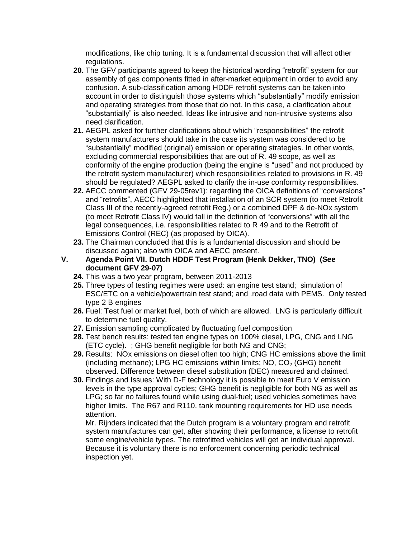modifications, like chip tuning. It is a fundamental discussion that will affect other regulations.

- **20.** The GFV participants agreed to keep the historical wording "retrofit" system for our assembly of gas components fitted in after-market equipment in order to avoid any confusion. A sub-classification among HDDF retrofit systems can be taken into account in order to distinguish those systems which "substantially" modify emission and operating strategies from those that do not. In this case, a clarification about "substantially" is also needed. Ideas like intrusive and non-intrusive systems also need clarification.
- **21.** AEGPL asked for further clarifications about which "responsibilities" the retrofit system manufacturers should take in the case its system was considered to be "substantially" modified (original) emission or operating strategies. In other words, excluding commercial responsibilities that are out of R. 49 scope, as well as conformity of the engine production (being the engine is "used" and not produced by the retrofit system manufacturer) which responsibilities related to provisions in R. 49 should be regulated? AEGPL asked to clarify the in-use conformity responsibilities.
- **22.** AECC commented (GFV 29-05rev1): regarding the OICA definitions of "conversions" and "retrofits", AECC highlighted that installation of an SCR system (to meet Retrofit Class III of the recently-agreed retrofit Reg.) or a combined DPF & de-NOx system (to meet Retrofit Class IV) would fall in the definition of "conversions" with all the legal consequences, i.e. responsibilities related to R 49 and to the Retrofit of Emissions Control (REC) (as proposed by OICA).
- **23.** The Chairman concluded that this is a fundamental discussion and should be discussed again; also with OICA and AECC present.
- **V. Agenda Point VII. Dutch HDDF Test Program (Henk Dekker, TNO) (See document GFV 29-07)**
	- **24.** This was a two year program, between 2011-2013
	- **25.** Three types of testing regimes were used: an engine test stand; simulation of ESC/ETC on a vehicle/powertrain test stand; and .road data with PEMS. Only tested type 2 B engines
	- **26.** Fuel: Test fuel or market fuel, both of which are allowed. LNG is particularly difficult to determine fuel quality.
	- **27.** Emission sampling complicated by fluctuating fuel composition
	- **28.** Test bench results: tested ten engine types on 100% diesel, LPG, CNG and LNG (ETC cycle). ; GHG benefit negligible for both NG and CNG;
	- **29.** Results: NOx emissions on diesel often too high; CNG HC emissions above the limit (including methane); LPG HC emissions within limits; NO,  $CO<sub>2</sub>$  (GHG) benefit observed. Difference between diesel substitution (DEC) measured and claimed.
	- **30.** Findings and Issues: With D-F technology it is possible to meet Euro V emission levels in the type approval cycles; GHG benefit is negligible for both NG as well as LPG; so far no failures found while using dual-fuel; used vehicles sometimes have higher limits. The R67 and R110. tank mounting requirements for HD use needs attention.

Mr. Rijnders indicated that the Dutch program is a voluntary program and retrofit system manufactures can get, after showing their performance, a license to retrofit some engine/vehicle types. The retrofitted vehicles will get an individual approval. Because it is voluntary there is no enforcement concerning periodic technical inspection yet.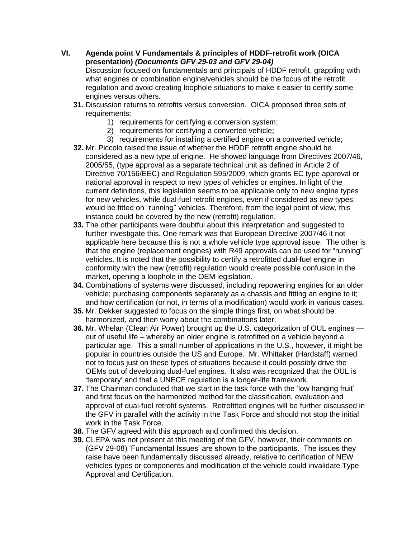**VI. Agenda point V Fundamentals & principles of HDDF-retrofit work (OICA presentation)** *(Documents GFV 29-03 and GFV 29-04)*

Discussion focused on fundamentals and principals of HDDF retrofit, grappling with what engines or combination engine/vehicles should be the focus of the retrofit regulation and avoid creating loophole situations to make it easier to certify some engines versus others.

- **31.** Discussion returns to retrofits versus conversion. OICA proposed three sets of requirements:
	- 1) requirements for certifying a conversion system;
	- 2) requirements for certifying a converted vehicle;
	- 3) requirements for installing a certified engine on a converted vehicle;
- **32.** Mr. Piccolo raised the issue of whether the HDDF retrofit engine should be considered as a new type of engine. He showed language from Directives 2007/46, 2005/55, (type approval as a separate technical unit as defined in Article 2 of Directive 70/156/EEC) and Regulation 595/2009, which grants EC type approval or national approval in respect to new types of vehicles or engines. In light of the current definitions, this legislation seems to be applicable only to new engine types for new vehicles, while dual-fuel retrofit engines, even if considered as new types, would be fitted on "running" vehicles. Therefore, from the legal point of view, this instance could be covered by the new (retrofit) regulation.
- **33.** The other participants were doubtful about this interpretation and suggested to further investigate this. One remark was that European Directive 2007/46 it not applicable here because this is not a whole vehicle type approval issue. The other is that the engine (replacement engines) with R49 approvals can be used for "running" vehicles. It is noted that the possibility to certify a retrofitted dual-fuel engine in conformity with the new (retrofit) regulation would create possible confusion in the market, opening a loophole in the OEM legislation.
- **34.** Combinations of systems were discussed, including repowering engines for an older vehicle; purchasing components separately as a chassis and fitting an engine to it; and how certification (or not, in terms of a modification) would work in various cases.
- **35.** Mr. Dekker suggested to focus on the simple things first, on what should be harmonized, and then worry about the combinations later.
- **36.** Mr. Whelan (Clean Air Power) brought up the U.S. categorization of OUL engines out of useful life – whereby an older engine is retrofitted on a vehicle beyond a particular age. This a small number of applications in the U.S., however, it might be popular in countries outside the US and Europe. Mr. Whittaker (Hardstaff) warned not to focus just on these types of situations because it could possibly drive the OEMs out of developing dual-fuel engines. It also was recognized that the OUL is 'temporary' and that a UNECE regulation is a longer-life framework.
- **37.** The Chairman concluded that we start in the task force with the 'low hanging fruit' and first focus on the harmonized method for the classification, evaluation and approval of dual-fuel retrofit systems. Retrofitted engines will be further discussed in the GFV in parallel with the activity in the Task Force and should not stop the initial work in the Task Force.
- **38.** The GFV agreed with this approach and confirmed this decision.
- **39.** CLEPA was not present at this meeting of the GFV, however, their comments on (GFV 29-08) 'Fundamental Issues' are shown to the participants. The issues they raise have been fundamentally discussed already, relative to certification of NEW vehicles types or components and modification of the vehicle could invalidate Type Approval and Certification.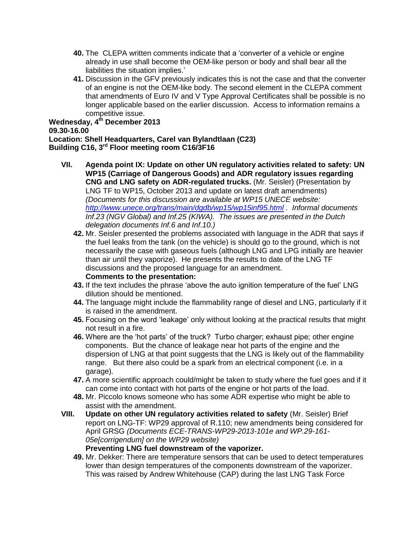- **40.** The CLEPA written comments indicate that a 'converter of a vehicle or engine already in use shall become the OEM-like person or body and shall bear all the liabilities the situation implies.'
- **41.** Discussion in the GFV previously indicates this is not the case and that the converter of an engine is not the OEM-like body. The second element in the CLEPA comment that amendments of Euro IV and V Type Approval Certificates shall be possible is no longer applicable based on the earlier discussion. Access to information remains a competitive issue.

```
Wednesday, 4th December 2013
09.30-16.00
Location: Shell Headquarters, Carel van Bylandtlaan (C23)
Building C16, 3rd Floor meeting room C16/3F16
```
- **VII. Agenda point IX: Update on other UN regulatory activities related to safety: UN WP15 (Carriage of Dangerous Goods) and ADR regulatory issues regarding CNG and LNG safety on ADR-regulated trucks.** (Mr. Seisler) (Presentation by LNG TF to WP15, October 2013 and update on latest draft amendments) *(Documents for this discussion are available at WP15 UNECE website: <http://www.unece.org/trans/main/dgdb/wp15/wp15inf95.html> . Informal documents Inf.23 (NGV Global) and Inf.25 (KIWA). The issues are presented in the Dutch delegation documents Inf.6 and Inf.10.)*
	- **42.** Mr. Seisler presented the problems associated with language in the ADR that says if the fuel leaks from the tank (on the vehicle) is should go to the ground, which is not necessarily the case with gaseous fuels (although LNG and LPG initially are heavier than air until they vaporize). He presents the results to date of the LNG TF discussions and the proposed language for an amendment. **Comments to the presentation:**
	- **43.** If the text includes the phrase 'above the auto ignition temperature of the fuel' LNG dilution should be mentioned.
	- **44.** The language might include the flammability range of diesel and LNG, particularly if it is raised in the amendment.
	- **45.** Focusing on the word 'leakage' only without looking at the practical results that might not result in a fire.
	- **46.** Where are the 'hot parts' of the truck? Turbo charger; exhaust pipe; other engine components. But the chance of leakage near hot parts of the engine and the dispersion of LNG at that point suggests that the LNG is likely out of the flammability range. But there also could be a spark from an electrical component (i.e. in a garage).
	- **47.** A more scientific approach could/might be taken to study where the fuel goes and if it can come into contact with hot parts of the engine or hot parts of the load.
	- **48.** Mr. Piccolo knows someone who has some ADR expertise who might be able to assist with the amendment.
- **VIII. Update on other UN regulatory activities related to safety** (Mr. Seisler) Brief report on LNG-TF: WP29 approval of R.110; new amendments being considered for April GRSG *(Documents ECE-TRANS-WP29-2013-101e and WP.29-161- 05e[corrigendum] on the WP29 website)* **Preventing LNG fuel downstream of the vaporizer.**
	- **49.** Mr. Dekker: There are temperature sensors that can be used to detect temperatures lower than design temperatures of the components downstream of the vaporizer. This was raised by Andrew Whitehouse (CAP) during the last LNG Task Force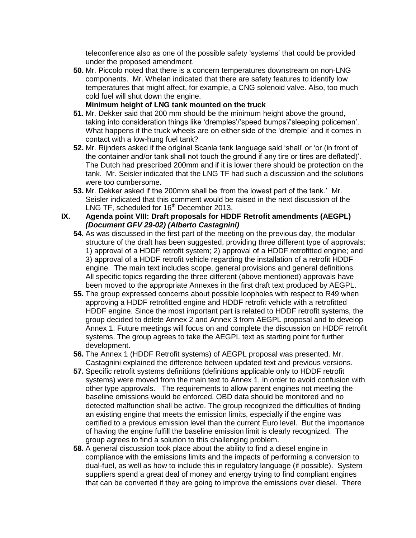teleconference also as one of the possible safety 'systems' that could be provided under the proposed amendment.

**50.** Mr. Piccolo noted that there is a concern temperatures downstream on non-LNG components. Mr. Whelan indicated that there are safety features to identify low temperatures that might affect, for example, a CNG solenoid valve. Also, too much cold fuel will shut down the engine.

## **Minimum height of LNG tank mounted on the truck**

- **51.** Mr. Dekker said that 200 mm should be the minimum height above the ground, taking into consideration things like 'dremples'/'speed bumps'/'sleeping policemen'. What happens if the truck wheels are on either side of the 'dremple' and it comes in contact with a low-hung fuel tank?
- **52.** Mr. Rijnders asked if the original Scania tank language said 'shall' or 'or (in front of the container and/or tank shall not touch the ground if any tire or tires are deflated)'. The Dutch had prescribed 200mm and if it is lower there should be protection on the tank. Mr. Seisler indicated that the LNG TF had such a discussion and the solutions were too cumbersome.
- **53.** Mr. Dekker asked if the 200mm shall be 'from the lowest part of the tank.' Mr. Seisler indicated that this comment would be raised in the next discussion of the LNG TF, scheduled for 16<sup>th</sup> December 2013.

#### **IX. Agenda point VIII: Draft proposals for HDDF Retrofit amendments (AEGPL)**  *(Document GFV 29-02) (Alberto Castagnini)*

- **54.** As was discussed in the first part of the meeting on the previous day, the modular structure of the draft has been suggested, providing three different type of approvals: 1) approval of a HDDF retrofit system; 2) approval of a HDDF retrofitted engine; and 3) approval of a HDDF retrofit vehicle regarding the installation of a retrofit HDDF engine. The main text includes scope, general provisions and general definitions. All specific topics regarding the three different (above mentioned) approvals have been moved to the appropriate Annexes in the first draft text produced by AEGPL.
- **55.** The group expressed concerns about possible loopholes with respect to R49 when approving a HDDF retrofitted engine and HDDF retrofit vehicle with a retrofitted HDDF engine. Since the most important part is related to HDDF retrofit systems, the group decided to delete Annex 2 and Annex 3 from AEGPL proposal and to develop Annex 1. Future meetings will focus on and complete the discussion on HDDF retrofit systems. The group agrees to take the AEGPL text as starting point for further development.
- **56.** The Annex 1 (HDDF Retrofit systems) of AEGPL proposal was presented. Mr. Castagnini explained the difference between updated text and previous versions.
- **57.** Specific retrofit systems definitions (definitions applicable only to HDDF retrofit systems) were moved from the main text to Annex 1, in order to avoid confusion with other type approvals. The requirements to allow parent engines not meeting the baseline emissions would be enforced. OBD data should be monitored and no detected malfunction shall be active. The group recognized the difficulties of finding an existing engine that meets the emission limits, especially if the engine was certified to a previous emission level than the current Euro level. But the importance of having the engine fulfill the baseline emission limit is clearly recognized. The group agrees to find a solution to this challenging problem.
- **58.** A general discussion took place about the ability to find a diesel engine in compliance with the emissions limits and the impacts of performing a conversion to dual-fuel, as well as how to include this in regulatory language (if possible). System suppliers spend a great deal of money and energy trying to find compliant engines that can be converted if they are going to improve the emissions over diesel. There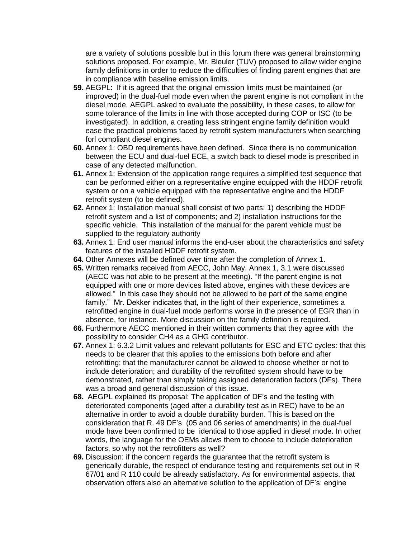are a variety of solutions possible but in this forum there was general brainstorming solutions proposed. For example, Mr. Bleuler (TUV) proposed to allow wider engine family definitions in order to reduce the difficulties of finding parent engines that are in compliance with baseline emission limits.

- **59.** AEGPL: If it is agreed that the original emission limits must be maintained (or improved) in the dual-fuel mode even when the parent engine is not compliant in the diesel mode, AEGPL asked to evaluate the possibility, in these cases, to allow for some tolerance of the limits in line with those accepted during COP or ISC (to be investigated). In addition, a creating less stringent engine family definition would ease the practical problems faced by retrofit system manufacturers when searching forl compliant diesel engines.
- **60.** Annex 1: OBD requirements have been defined. Since there is no communication between the ECU and dual-fuel ECE, a switch back to diesel mode is prescribed in case of any detected malfunction.
- **61.** Annex 1: Extension of the application range requires a simplified test sequence that can be performed either on a representative engine equipped with the HDDF retrofit system or on a vehicle equipped with the representative engine and the HDDF retrofit system (to be defined).
- **62.** Annex 1: Installation manual shall consist of two parts: 1) describing the HDDF retrofit system and a list of components; and 2) installation instructions for the specific vehicle. This installation of the manual for the parent vehicle must be supplied to the regulatory authority
- **63.** Annex 1: End user manual informs the end-user about the characteristics and safety features of the installed HDDF retrofit system.
- **64.** Other Annexes will be defined over time after the completion of Annex 1.
- **65.** Written remarks received from AECC, John May. Annex 1, 3.1 were discussed (AECC was not able to be present at the meeting). "If the parent engine is not equipped with one or more devices listed above, engines with these devices are allowed." In this case they should not be allowed to be part of the same engine family." Mr. Dekker indicates that, in the light of their experience, sometimes a retrofitted engine in dual-fuel mode performs worse in the presence of EGR than in absence, for instance. More discussion on the family definition is required.
- **66.** Furthermore AECC mentioned in their written comments that they agree with the possibility to consider CH4 as a GHG contributor.
- **67.** Annex 1: 6.3.2 Limit values and relevant pollutants for ESC and ETC cycles: that this needs to be clearer that this applies to the emissions both before and after retrofitting; that the manufacturer cannot be allowed to choose whether or not to include deterioration; and durability of the retrofitted system should have to be demonstrated, rather than simply taking assigned deterioration factors (DFs). There was a broad and general discussion of this issue.
- **68.** AEGPL explained its proposal: The application of DF's and the testing with deteriorated components (aged after a durability test as in REC) have to be an alternative in order to avoid a double durability burden. This is based on the consideration that R. 49 DF's (05 and 06 series of amendments) in the dual-fuel mode have been confirmed to be identical to those applied in diesel mode. In other words, the language for the OEMs allows them to choose to include deterioration factors, so why not the retrofitters as well?
- **69.** Discussion: if the concern regards the guarantee that the retrofit system is generically durable, the respect of endurance testing and requirements set out in R 67/01 and R 110 could be already satisfactory. As for environmental aspects, that observation offers also an alternative solution to the application of DF's: engine